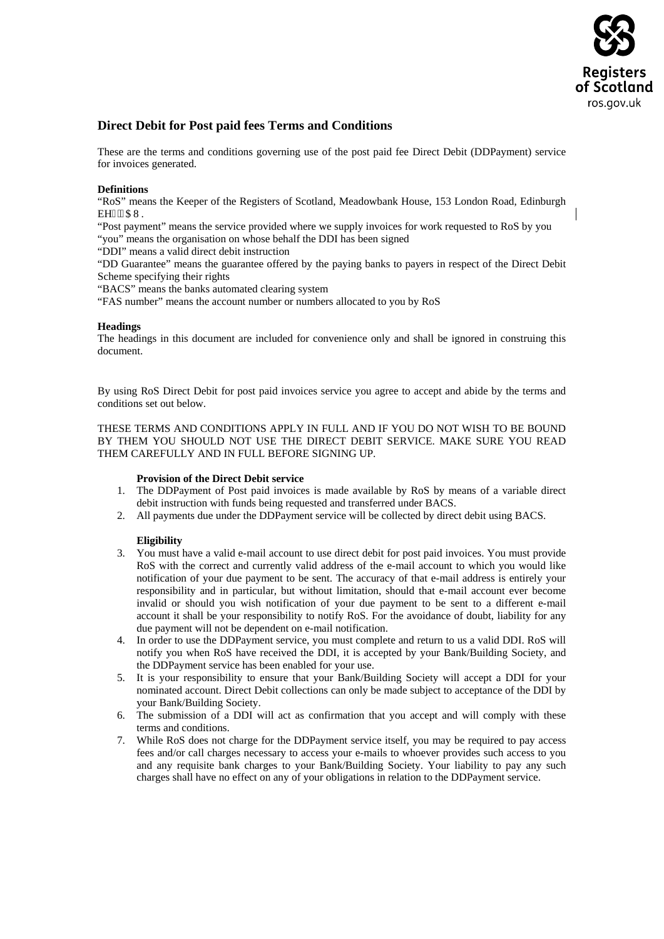

# **Direct Debit for Post paid fees Terms and Conditions**

These are the terms and conditions governing use of the post paid fee Direct Debit (DDPayment) service for invoices generated.

# **Definitions**

"RoS" means the Keeper of the Registers of Scotland, Meadowbank House, 153 London Road, Edinburgh **EH: '9CW.** 

"Post payment" means the service provided where we supply invoices for work requested to RoS by you "you" means the organisation on whose behalf the DDI has been signed

"DDI" means a valid direct debit instruction

"DD Guarantee" means the guarantee offered by the paying banks to payers in respect of the Direct Debit Scheme specifying their rights

"BACS" means the banks automated clearing system

"FAS number" means the account number or numbers allocated to you by RoS

# **Headings**

The headings in this document are included for convenience only and shall be ignored in construing this document.

By using RoS Direct Debit for post paid invoices service you agree to accept and abide by the terms and conditions set out below.

THESE TERMS AND CONDITIONS APPLY IN FULL AND IF YOU DO NOT WISH TO BE BOUND BY THEM YOU SHOULD NOT USE THE DIRECT DEBIT SERVICE. MAKE SURE YOU READ THEM CAREFULLY AND IN FULL BEFORE SIGNING UP.

# **Provision of the Direct Debit service**

- 1. The DDPayment of Post paid invoices is made available by RoS by means of a variable direct debit instruction with funds being requested and transferred under BACS.
- 2. All payments due under the DDPayment service will be collected by direct debit using BACS.

# **Eligibility**

- 3. You must have a valid e-mail account to use direct debit for post paid invoices. You must provide RoS with the correct and currently valid address of the e-mail account to which you would like notification of your due payment to be sent. The accuracy of that e-mail address is entirely your responsibility and in particular, but without limitation, should that e-mail account ever become invalid or should you wish notification of your due payment to be sent to a different e-mail account it shall be your responsibility to notify RoS. For the avoidance of doubt, liability for any due payment will not be dependent on e-mail notification.
- 4. In order to use the DDPayment service, you must complete and return to us a valid DDI. RoS will notify you when RoS have received the DDI, it is accepted by your Bank/Building Society, and the DDPayment service has been enabled for your use.
- 5. It is your responsibility to ensure that your Bank/Building Society will accept a DDI for your nominated account. Direct Debit collections can only be made subject to acceptance of the DDI by your Bank/Building Society.
- 6. The submission of a DDI will act as confirmation that you accept and will comply with these terms and conditions.
- 7. While RoS does not charge for the DDPayment service itself, you may be required to pay access fees and/or call charges necessary to access your e-mails to whoever provides such access to you and any requisite bank charges to your Bank/Building Society. Your liability to pay any such charges shall have no effect on any of your obligations in relation to the DDPayment service.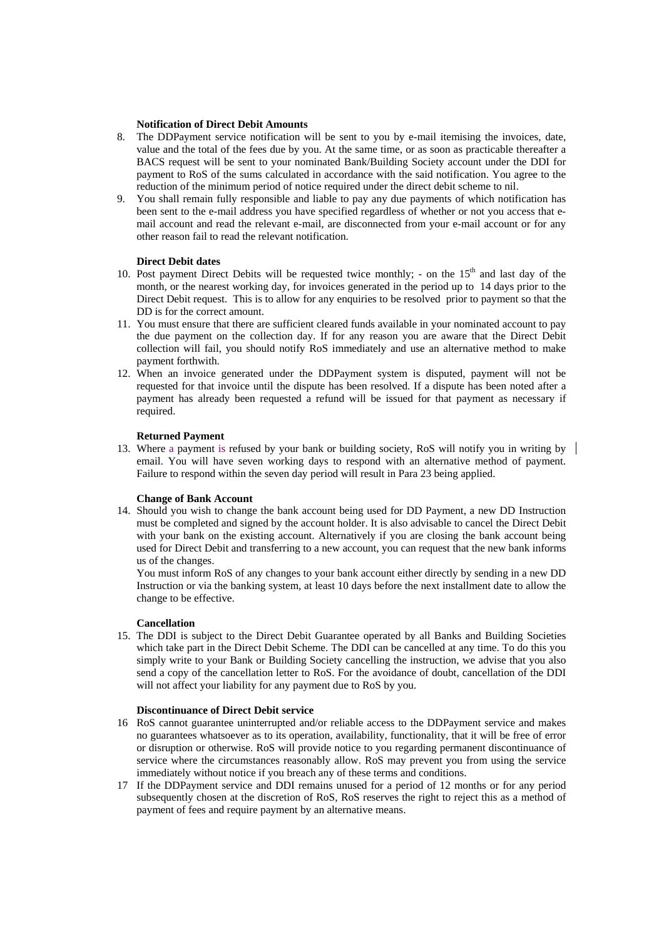### **Notification of Direct Debit Amounts**

- 8. The DDPayment service notification will be sent to you by e-mail itemising the invoices, date, value and the total of the fees due by you. At the same time, or as soon as practicable thereafter a BACS request will be sent to your nominated Bank/Building Society account under the DDI for payment to RoS of the sums calculated in accordance with the said notification. You agree to the reduction of the minimum period of notice required under the direct debit scheme to nil.
- 9. You shall remain fully responsible and liable to pay any due payments of which notification has been sent to the e-mail address you have specified regardless of whether or not you access that email account and read the relevant e-mail, are disconnected from your e-mail account or for any other reason fail to read the relevant notification.

# **Direct Debit dates**

- 10. Post payment Direct Debits will be requested twice monthly; on the  $15<sup>th</sup>$  and last day of the month, or the nearest working day, for invoices generated in the period up to 14 days prior to the Direct Debit request. This is to allow for any enquiries to be resolved prior to payment so that the DD is for the correct amount.
- 11. You must ensure that there are sufficient cleared funds available in your nominated account to pay the due payment on the collection day. If for any reason you are aware that the Direct Debit collection will fail, you should notify RoS immediately and use an alternative method to make payment forthwith.
- 12. When an invoice generated under the DDPayment system is disputed, payment will not be requested for that invoice until the dispute has been resolved. If a dispute has been noted after a payment has already been requested a refund will be issued for that payment as necessary if required.

# **Returned Payment**

13. Where a payment is refused by your bank or building society, RoS will notify you in writing by | email. You will have seven working days to respond with an alternative method of payment. Failure to respond within the seven day period will result in Para 23 being applied.

### **Change of Bank Account**

14. Should you wish to change the bank account being used for DD Payment, a new DD Instruction must be completed and signed by the account holder. It is also advisable to cancel the Direct Debit with your bank on the existing account. Alternatively if you are closing the bank account being used for Direct Debit and transferring to a new account, you can request that the new bank informs us of the changes.

You must inform RoS of any changes to your bank account either directly by sending in a new DD Instruction or via the banking system, at least 10 days before the next installment date to allow the change to be effective.

#### **Cancellation**

15. The DDI is subject to the Direct Debit Guarantee operated by all Banks and Building Societies which take part in the Direct Debit Scheme. The DDI can be cancelled at any time. To do this you simply write to your Bank or Building Society cancelling the instruction, we advise that you also send a copy of the cancellation letter to RoS. For the avoidance of doubt, cancellation of the DDI will not affect your liability for any payment due to RoS by you.

### **Discontinuance of Direct Debit service**

- 16 RoS cannot guarantee uninterrupted and/or reliable access to the DDPayment service and makes no guarantees whatsoever as to its operation, availability, functionality, that it will be free of error or disruption or otherwise. RoS will provide notice to you regarding permanent discontinuance of service where the circumstances reasonably allow. RoS may prevent you from using the service immediately without notice if you breach any of these terms and conditions.
- 17 If the DDPayment service and DDI remains unused for a period of 12 months or for any period subsequently chosen at the discretion of RoS, RoS reserves the right to reject this as a method of payment of fees and require payment by an alternative means.